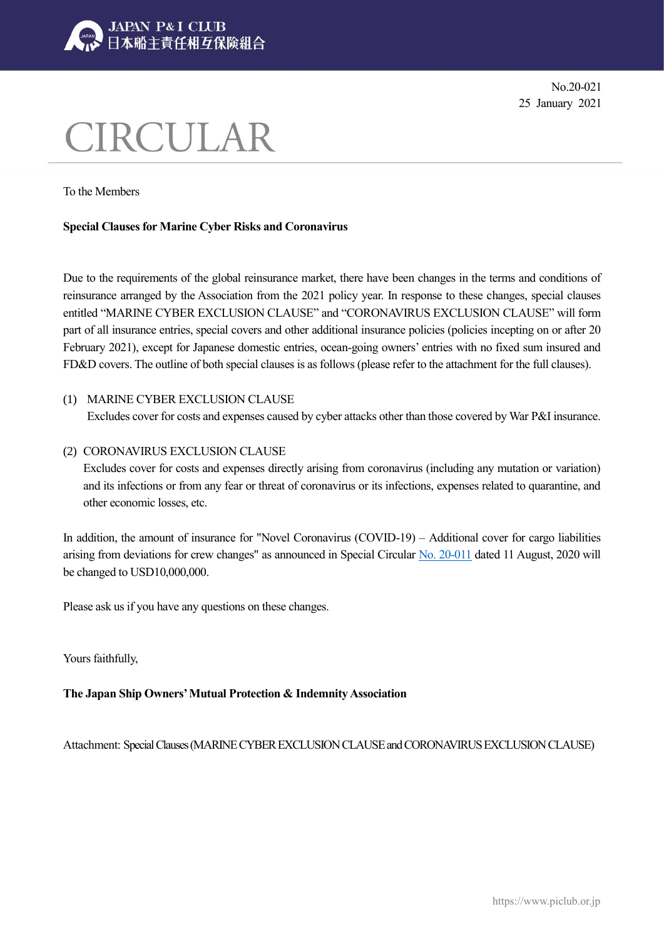

No.20-021 25 January 2021

# CIRCULAR

To the Members

### **Special Clauses for Marine Cyber Risks and Coronavirus**

Due to the requirements of the global reinsurance market, there have been changes in the terms and conditions of reinsurance arranged by the Association from the 2021 policy year. In response to these changes, special clauses entitled "MARINE CYBER EXCLUSION CLAUSE" and "CORONAVIRUS EXCLUSION CLAUSE" will form part of all insurance entries, special covers and other additional insurance policies (policies incepting on or after 20 February 2021), except for Japanese domestic entries, ocean-going owners' entries with no fixed sum insured and FD&D covers. The outline of both special clauses is as follows (please refer to the attachment for the full clauses).

#### (1) MARINE CYBER EXCLUSION CLAUSE

Excludes cover for costs and expenses caused by cyber attacks other than those covered by War P&I insurance.

#### (2) CORONAVIRUS EXCLUSION CLAUSE

Excludes cover for costs and expenses directly arising from coronavirus (including any mutation or variation) and its infections or from any fear or threat of coronavirus or its infections, expenses related to quarantine, and other economic losses, etc.

In addition, the amount of insurance for "Novel Coronavirus (COVID-19) – Additional cover for cargo liabilities arising from deviations for crew changes" as announced in Special Circular [No. 20-011](https://www.piclub.or.jp/en/news/31743) dated 11 August, 2020 will be changed to USD10,000,000.

Please ask us if you have any questions on these changes.

Yours faithfully,

**The Japan Ship Owners' Mutual Protection & Indemnity Association**

Attachment: Special Clauses (MARINE CYBER EXCLUSION CLAUSE and CORONAVIRUS EXCLUSION CLAUSE)